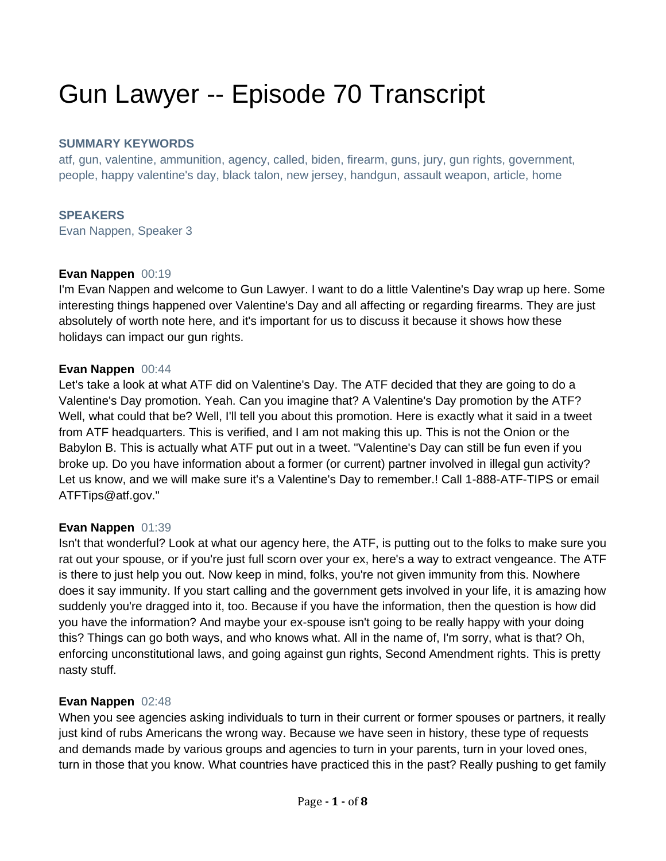# Gun Lawyer -- Episode 70 Transcript

#### **SUMMARY KEYWORDS**

atf, gun, valentine, ammunition, agency, called, biden, firearm, guns, jury, gun rights, government, people, happy valentine's day, black talon, new jersey, handgun, assault weapon, article, home

#### **SPEAKERS**

Evan Nappen, Speaker 3

#### **Evan Nappen** 00:19

I'm Evan Nappen and welcome to Gun Lawyer. I want to do a little Valentine's Day wrap up here. Some interesting things happened over Valentine's Day and all affecting or regarding firearms. They are just absolutely of worth note here, and it's important for us to discuss it because it shows how these holidays can impact our gun rights.

#### **Evan Nappen** 00:44

Let's take a look at what ATF did on Valentine's Day. The ATF decided that they are going to do a Valentine's Day promotion. Yeah. Can you imagine that? A Valentine's Day promotion by the ATF? Well, what could that be? Well, I'll tell you about this promotion. Here is exactly what it said in a tweet from ATF headquarters. This is verified, and I am not making this up. This is not the Onion or the Babylon B. This is actually what ATF put out in a tweet. "Valentine's Day can still be fun even if you broke up. Do you have information about a former (or current) partner involved in illegal gun activity? Let us know, and we will make sure it's a Valentine's Day to remember.! Call 1-888-ATF-TIPS or email ATFTips@atf.gov."

#### **Evan Nappen** 01:39

Isn't that wonderful? Look at what our agency here, the ATF, is putting out to the folks to make sure you rat out your spouse, or if you're just full scorn over your ex, here's a way to extract vengeance. The ATF is there to just help you out. Now keep in mind, folks, you're not given immunity from this. Nowhere does it say immunity. If you start calling and the government gets involved in your life, it is amazing how suddenly you're dragged into it, too. Because if you have the information, then the question is how did you have the information? And maybe your ex-spouse isn't going to be really happy with your doing this? Things can go both ways, and who knows what. All in the name of, I'm sorry, what is that? Oh, enforcing unconstitutional laws, and going against gun rights, Second Amendment rights. This is pretty nasty stuff.

#### **Evan Nappen** 02:48

When you see agencies asking individuals to turn in their current or former spouses or partners, it really just kind of rubs Americans the wrong way. Because we have seen in history, these type of requests and demands made by various groups and agencies to turn in your parents, turn in your loved ones, turn in those that you know. What countries have practiced this in the past? Really pushing to get family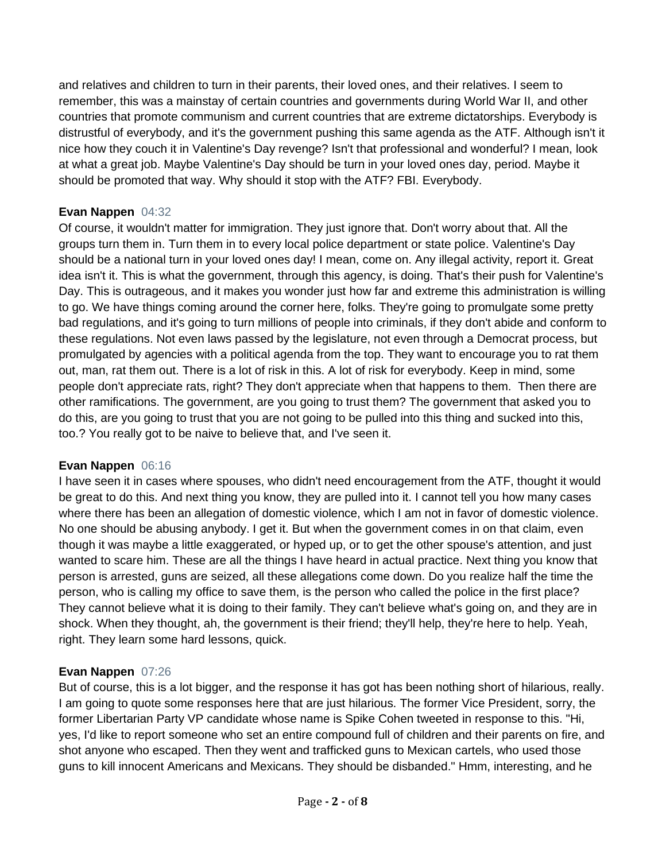and relatives and children to turn in their parents, their loved ones, and their relatives. I seem to remember, this was a mainstay of certain countries and governments during World War II, and other countries that promote communism and current countries that are extreme dictatorships. Everybody is distrustful of everybody, and it's the government pushing this same agenda as the ATF. Although isn't it nice how they couch it in Valentine's Day revenge? Isn't that professional and wonderful? I mean, look at what a great job. Maybe Valentine's Day should be turn in your loved ones day, period. Maybe it should be promoted that way. Why should it stop with the ATF? FBI. Everybody.

## **Evan Nappen** 04:32

Of course, it wouldn't matter for immigration. They just ignore that. Don't worry about that. All the groups turn them in. Turn them in to every local police department or state police. Valentine's Day should be a national turn in your loved ones day! I mean, come on. Any illegal activity, report it. Great idea isn't it. This is what the government, through this agency, is doing. That's their push for Valentine's Day. This is outrageous, and it makes you wonder just how far and extreme this administration is willing to go. We have things coming around the corner here, folks. They're going to promulgate some pretty bad regulations, and it's going to turn millions of people into criminals, if they don't abide and conform to these regulations. Not even laws passed by the legislature, not even through a Democrat process, but promulgated by agencies with a political agenda from the top. They want to encourage you to rat them out, man, rat them out. There is a lot of risk in this. A lot of risk for everybody. Keep in mind, some people don't appreciate rats, right? They don't appreciate when that happens to them. Then there are other ramifications. The government, are you going to trust them? The government that asked you to do this, are you going to trust that you are not going to be pulled into this thing and sucked into this, too.? You really got to be naive to believe that, and I've seen it.

# **Evan Nappen** 06:16

I have seen it in cases where spouses, who didn't need encouragement from the ATF, thought it would be great to do this. And next thing you know, they are pulled into it. I cannot tell you how many cases where there has been an allegation of domestic violence, which I am not in favor of domestic violence. No one should be abusing anybody. I get it. But when the government comes in on that claim, even though it was maybe a little exaggerated, or hyped up, or to get the other spouse's attention, and just wanted to scare him. These are all the things I have heard in actual practice. Next thing you know that person is arrested, guns are seized, all these allegations come down. Do you realize half the time the person, who is calling my office to save them, is the person who called the police in the first place? They cannot believe what it is doing to their family. They can't believe what's going on, and they are in shock. When they thought, ah, the government is their friend; they'll help, they're here to help. Yeah, right. They learn some hard lessons, quick.

# **Evan Nappen** 07:26

But of course, this is a lot bigger, and the response it has got has been nothing short of hilarious, really. I am going to quote some responses here that are just hilarious. The former Vice President, sorry, the former Libertarian Party VP candidate whose name is Spike Cohen tweeted in response to this. "Hi, yes, I'd like to report someone who set an entire compound full of children and their parents on fire, and shot anyone who escaped. Then they went and trafficked guns to Mexican cartels, who used those guns to kill innocent Americans and Mexicans. They should be disbanded." Hmm, interesting, and he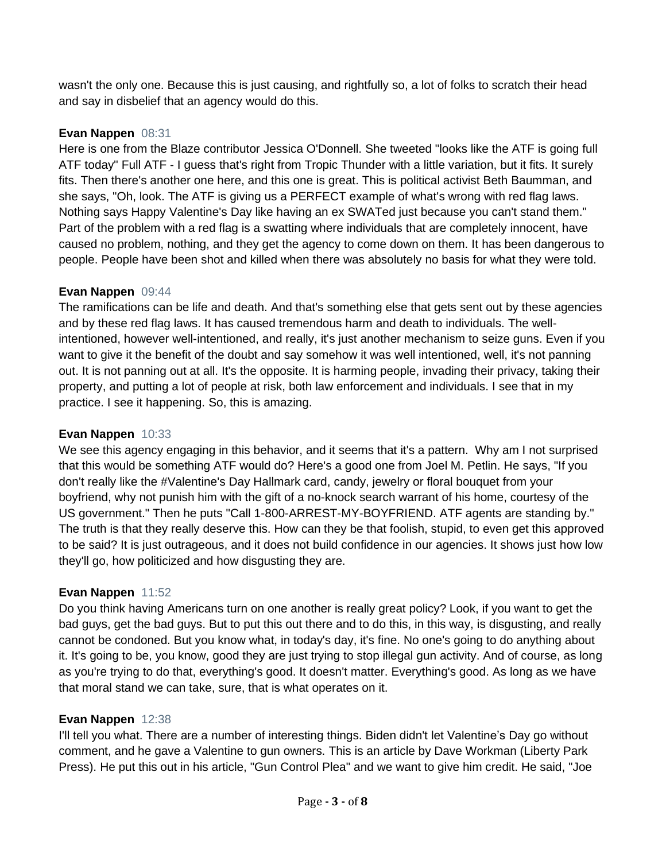wasn't the only one. Because this is just causing, and rightfully so, a lot of folks to scratch their head and say in disbelief that an agency would do this.

## **Evan Nappen** 08:31

Here is one from the Blaze contributor Jessica O'Donnell. She tweeted "looks like the ATF is going full ATF today" Full ATF - I guess that's right from Tropic Thunder with a little variation, but it fits. It surely fits. Then there's another one here, and this one is great. This is political activist Beth Baumman, and she says, "Oh, look. The ATF is giving us a PERFECT example of what's wrong with red flag laws. Nothing says Happy Valentine's Day like having an ex SWATed just because you can't stand them." Part of the problem with a red flag is a swatting where individuals that are completely innocent, have caused no problem, nothing, and they get the agency to come down on them. It has been dangerous to people. People have been shot and killed when there was absolutely no basis for what they were told.

## **Evan Nappen** 09:44

The ramifications can be life and death. And that's something else that gets sent out by these agencies and by these red flag laws. It has caused tremendous harm and death to individuals. The wellintentioned, however well-intentioned, and really, it's just another mechanism to seize guns. Even if you want to give it the benefit of the doubt and say somehow it was well intentioned, well, it's not panning out. It is not panning out at all. It's the opposite. It is harming people, invading their privacy, taking their property, and putting a lot of people at risk, both law enforcement and individuals. I see that in my practice. I see it happening. So, this is amazing.

## **Evan Nappen** 10:33

We see this agency engaging in this behavior, and it seems that it's a pattern. Why am I not surprised that this would be something ATF would do? Here's a good one from Joel M. Petlin. He says, "If you don't really like the #Valentine's Day Hallmark card, candy, jewelry or floral bouquet from your boyfriend, why not punish him with the gift of a no-knock search warrant of his home, courtesy of the US government." Then he puts "Call 1-800-ARREST-MY-BOYFRIEND. ATF agents are standing by." The truth is that they really deserve this. How can they be that foolish, stupid, to even get this approved to be said? It is just outrageous, and it does not build confidence in our agencies. It shows just how low they'll go, how politicized and how disgusting they are.

# **Evan Nappen** 11:52

Do you think having Americans turn on one another is really great policy? Look, if you want to get the bad guys, get the bad guys. But to put this out there and to do this, in this way, is disgusting, and really cannot be condoned. But you know what, in today's day, it's fine. No one's going to do anything about it. It's going to be, you know, good they are just trying to stop illegal gun activity. And of course, as long as you're trying to do that, everything's good. It doesn't matter. Everything's good. As long as we have that moral stand we can take, sure, that is what operates on it.

#### **Evan Nappen** 12:38

I'll tell you what. There are a number of interesting things. Biden didn't let Valentine's Day go without comment, and he gave a Valentine to gun owners. This is an article by Dave Workman (Liberty Park Press). He put this out in his article, "Gun Control Plea" and we want to give him credit. He said, "Joe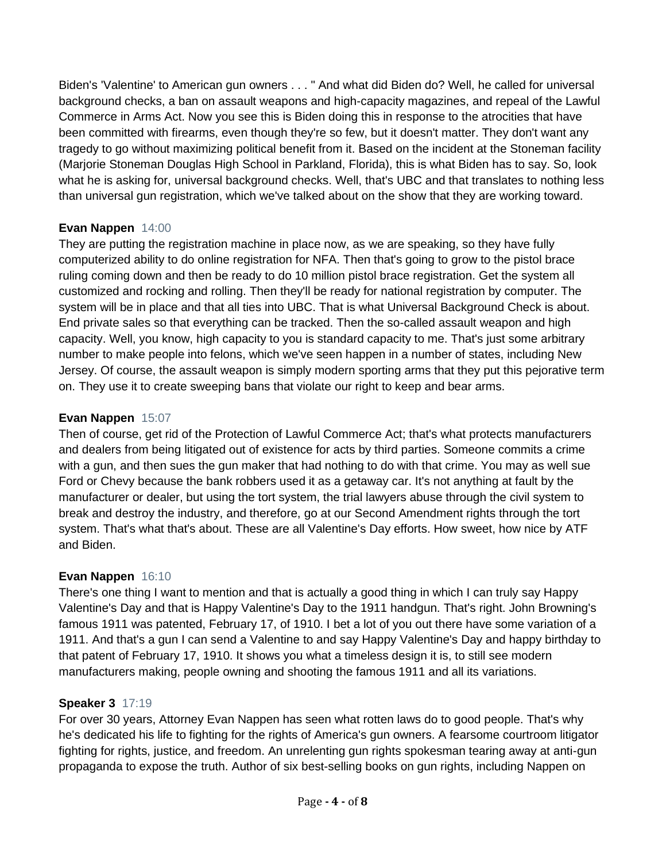Biden's 'Valentine' to American gun owners . . . " And what did Biden do? Well, he called for universal background checks, a ban on assault weapons and high-capacity magazines, and repeal of the Lawful Commerce in Arms Act. Now you see this is Biden doing this in response to the atrocities that have been committed with firearms, even though they're so few, but it doesn't matter. They don't want any tragedy to go without maximizing political benefit from it. Based on the incident at the Stoneman facility (Marjorie Stoneman Douglas High School in Parkland, Florida), this is what Biden has to say. So, look what he is asking for, universal background checks. Well, that's UBC and that translates to nothing less than universal gun registration, which we've talked about on the show that they are working toward.

## **Evan Nappen** 14:00

They are putting the registration machine in place now, as we are speaking, so they have fully computerized ability to do online registration for NFA. Then that's going to grow to the pistol brace ruling coming down and then be ready to do 10 million pistol brace registration. Get the system all customized and rocking and rolling. Then they'll be ready for national registration by computer. The system will be in place and that all ties into UBC. That is what Universal Background Check is about. End private sales so that everything can be tracked. Then the so-called assault weapon and high capacity. Well, you know, high capacity to you is standard capacity to me. That's just some arbitrary number to make people into felons, which we've seen happen in a number of states, including New Jersey. Of course, the assault weapon is simply modern sporting arms that they put this pejorative term on. They use it to create sweeping bans that violate our right to keep and bear arms.

## **Evan Nappen** 15:07

Then of course, get rid of the Protection of Lawful Commerce Act; that's what protects manufacturers and dealers from being litigated out of existence for acts by third parties. Someone commits a crime with a gun, and then sues the gun maker that had nothing to do with that crime. You may as well sue Ford or Chevy because the bank robbers used it as a getaway car. It's not anything at fault by the manufacturer or dealer, but using the tort system, the trial lawyers abuse through the civil system to break and destroy the industry, and therefore, go at our Second Amendment rights through the tort system. That's what that's about. These are all Valentine's Day efforts. How sweet, how nice by ATF and Biden.

# **Evan Nappen** 16:10

There's one thing I want to mention and that is actually a good thing in which I can truly say Happy Valentine's Day and that is Happy Valentine's Day to the 1911 handgun. That's right. John Browning's famous 1911 was patented, February 17, of 1910. I bet a lot of you out there have some variation of a 1911. And that's a gun I can send a Valentine to and say Happy Valentine's Day and happy birthday to that patent of February 17, 1910. It shows you what a timeless design it is, to still see modern manufacturers making, people owning and shooting the famous 1911 and all its variations.

#### **Speaker 3** 17:19

For over 30 years, Attorney Evan Nappen has seen what rotten laws do to good people. That's why he's dedicated his life to fighting for the rights of America's gun owners. A fearsome courtroom litigator fighting for rights, justice, and freedom. An unrelenting gun rights spokesman tearing away at anti-gun propaganda to expose the truth. Author of six best-selling books on gun rights, including Nappen on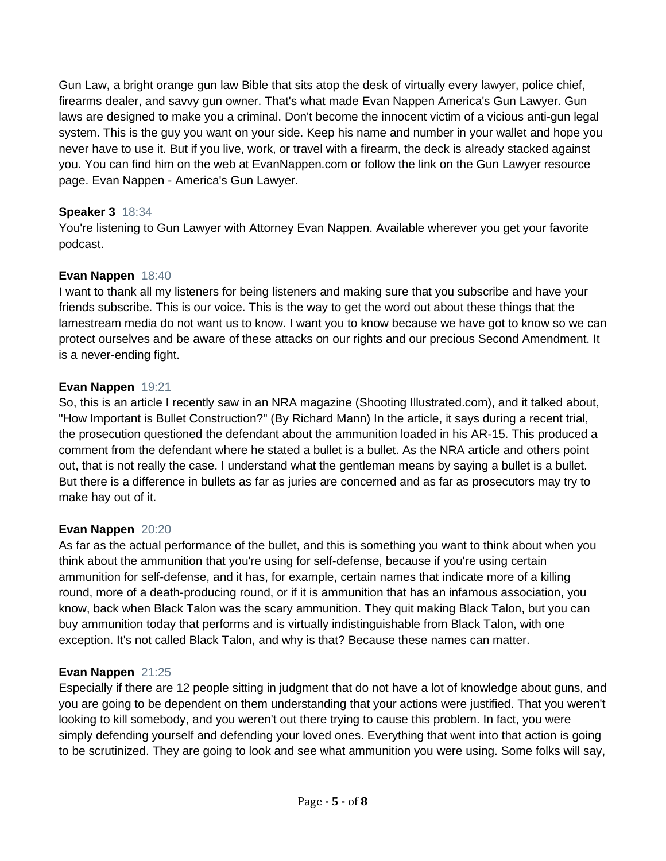Gun Law, a bright orange gun law Bible that sits atop the desk of virtually every lawyer, police chief, firearms dealer, and savvy gun owner. That's what made Evan Nappen America's Gun Lawyer. Gun laws are designed to make you a criminal. Don't become the innocent victim of a vicious anti-gun legal system. This is the guy you want on your side. Keep his name and number in your wallet and hope you never have to use it. But if you live, work, or travel with a firearm, the deck is already stacked against you. You can find him on the web at EvanNappen.com or follow the link on the Gun Lawyer resource page. Evan Nappen - America's Gun Lawyer.

### **Speaker 3** 18:34

You're listening to Gun Lawyer with Attorney Evan Nappen. Available wherever you get your favorite podcast.

# **Evan Nappen** 18:40

I want to thank all my listeners for being listeners and making sure that you subscribe and have your friends subscribe. This is our voice. This is the way to get the word out about these things that the lamestream media do not want us to know. I want you to know because we have got to know so we can protect ourselves and be aware of these attacks on our rights and our precious Second Amendment. It is a never-ending fight.

## **Evan Nappen** 19:21

So, this is an article I recently saw in an NRA magazine (Shooting Illustrated.com), and it talked about, "How Important is Bullet Construction?" (By Richard Mann) In the article, it says during a recent trial, the prosecution questioned the defendant about the ammunition loaded in his AR-15. This produced a comment from the defendant where he stated a bullet is a bullet. As the NRA article and others point out, that is not really the case. I understand what the gentleman means by saying a bullet is a bullet. But there is a difference in bullets as far as juries are concerned and as far as prosecutors may try to make hay out of it.

#### **Evan Nappen** 20:20

As far as the actual performance of the bullet, and this is something you want to think about when you think about the ammunition that you're using for self-defense, because if you're using certain ammunition for self-defense, and it has, for example, certain names that indicate more of a killing round, more of a death-producing round, or if it is ammunition that has an infamous association, you know, back when Black Talon was the scary ammunition. They quit making Black Talon, but you can buy ammunition today that performs and is virtually indistinguishable from Black Talon, with one exception. It's not called Black Talon, and why is that? Because these names can matter.

#### **Evan Nappen** 21:25

Especially if there are 12 people sitting in judgment that do not have a lot of knowledge about guns, and you are going to be dependent on them understanding that your actions were justified. That you weren't looking to kill somebody, and you weren't out there trying to cause this problem. In fact, you were simply defending yourself and defending your loved ones. Everything that went into that action is going to be scrutinized. They are going to look and see what ammunition you were using. Some folks will say,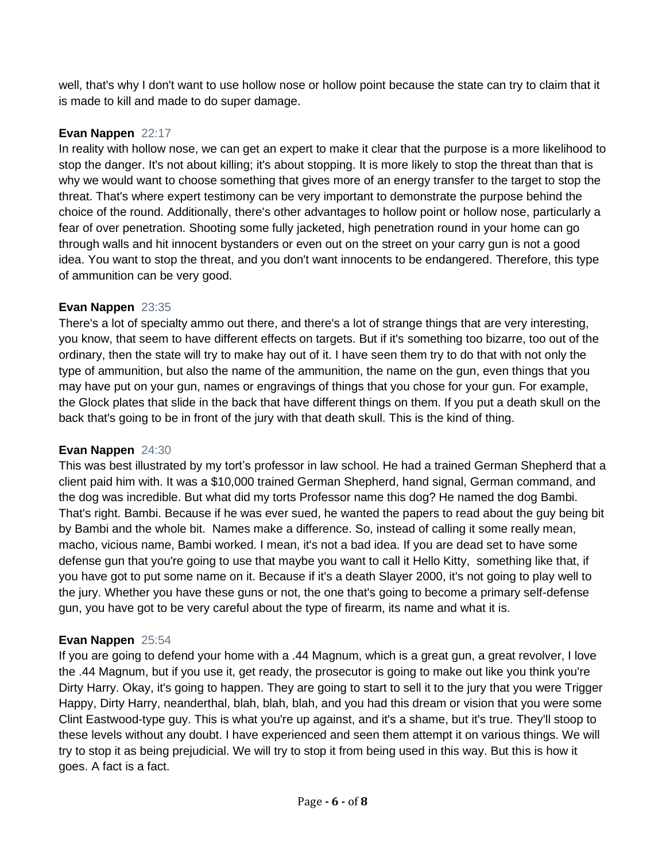well, that's why I don't want to use hollow nose or hollow point because the state can try to claim that it is made to kill and made to do super damage.

# **Evan Nappen** 22:17

In reality with hollow nose, we can get an expert to make it clear that the purpose is a more likelihood to stop the danger. It's not about killing; it's about stopping. It is more likely to stop the threat than that is why we would want to choose something that gives more of an energy transfer to the target to stop the threat. That's where expert testimony can be very important to demonstrate the purpose behind the choice of the round. Additionally, there's other advantages to hollow point or hollow nose, particularly a fear of over penetration. Shooting some fully jacketed, high penetration round in your home can go through walls and hit innocent bystanders or even out on the street on your carry gun is not a good idea. You want to stop the threat, and you don't want innocents to be endangered. Therefore, this type of ammunition can be very good.

# **Evan Nappen** 23:35

There's a lot of specialty ammo out there, and there's a lot of strange things that are very interesting, you know, that seem to have different effects on targets. But if it's something too bizarre, too out of the ordinary, then the state will try to make hay out of it. I have seen them try to do that with not only the type of ammunition, but also the name of the ammunition, the name on the gun, even things that you may have put on your gun, names or engravings of things that you chose for your gun. For example, the Glock plates that slide in the back that have different things on them. If you put a death skull on the back that's going to be in front of the jury with that death skull. This is the kind of thing.

# **Evan Nappen** 24:30

This was best illustrated by my tort's professor in law school. He had a trained German Shepherd that a client paid him with. It was a \$10,000 trained German Shepherd, hand signal, German command, and the dog was incredible. But what did my torts Professor name this dog? He named the dog Bambi. That's right. Bambi. Because if he was ever sued, he wanted the papers to read about the guy being bit by Bambi and the whole bit. Names make a difference. So, instead of calling it some really mean, macho, vicious name, Bambi worked. I mean, it's not a bad idea. If you are dead set to have some defense gun that you're going to use that maybe you want to call it Hello Kitty, something like that, if you have got to put some name on it. Because if it's a death Slayer 2000, it's not going to play well to the jury. Whether you have these guns or not, the one that's going to become a primary self-defense gun, you have got to be very careful about the type of firearm, its name and what it is.

# **Evan Nappen** 25:54

If you are going to defend your home with a .44 Magnum, which is a great gun, a great revolver, I love the .44 Magnum, but if you use it, get ready, the prosecutor is going to make out like you think you're Dirty Harry. Okay, it's going to happen. They are going to start to sell it to the jury that you were Trigger Happy, Dirty Harry, neanderthal, blah, blah, blah, and you had this dream or vision that you were some Clint Eastwood-type guy. This is what you're up against, and it's a shame, but it's true. They'll stoop to these levels without any doubt. I have experienced and seen them attempt it on various things. We will try to stop it as being prejudicial. We will try to stop it from being used in this way. But this is how it goes. A fact is a fact.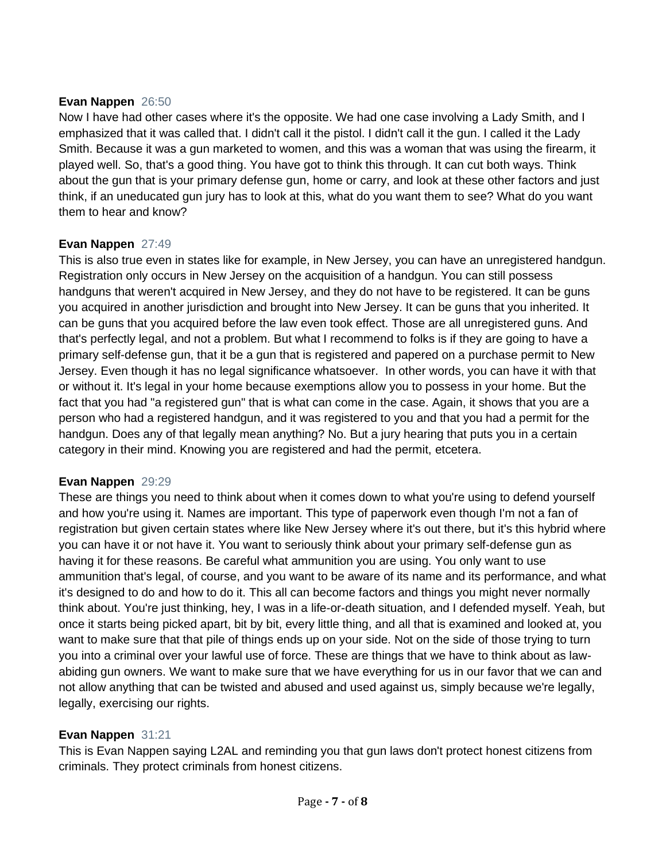#### **Evan Nappen** 26:50

Now I have had other cases where it's the opposite. We had one case involving a Lady Smith, and I emphasized that it was called that. I didn't call it the pistol. I didn't call it the gun. I called it the Lady Smith. Because it was a gun marketed to women, and this was a woman that was using the firearm, it played well. So, that's a good thing. You have got to think this through. It can cut both ways. Think about the gun that is your primary defense gun, home or carry, and look at these other factors and just think, if an uneducated gun jury has to look at this, what do you want them to see? What do you want them to hear and know?

#### **Evan Nappen** 27:49

This is also true even in states like for example, in New Jersey, you can have an unregistered handgun. Registration only occurs in New Jersey on the acquisition of a handgun. You can still possess handguns that weren't acquired in New Jersey, and they do not have to be registered. It can be guns you acquired in another jurisdiction and brought into New Jersey. It can be guns that you inherited. It can be guns that you acquired before the law even took effect. Those are all unregistered guns. And that's perfectly legal, and not a problem. But what I recommend to folks is if they are going to have a primary self-defense gun, that it be a gun that is registered and papered on a purchase permit to New Jersey. Even though it has no legal significance whatsoever. In other words, you can have it with that or without it. It's legal in your home because exemptions allow you to possess in your home. But the fact that you had "a registered gun" that is what can come in the case. Again, it shows that you are a person who had a registered handgun, and it was registered to you and that you had a permit for the handgun. Does any of that legally mean anything? No. But a jury hearing that puts you in a certain category in their mind. Knowing you are registered and had the permit, etcetera.

#### **Evan Nappen** 29:29

These are things you need to think about when it comes down to what you're using to defend yourself and how you're using it. Names are important. This type of paperwork even though I'm not a fan of registration but given certain states where like New Jersey where it's out there, but it's this hybrid where you can have it or not have it. You want to seriously think about your primary self-defense gun as having it for these reasons. Be careful what ammunition you are using. You only want to use ammunition that's legal, of course, and you want to be aware of its name and its performance, and what it's designed to do and how to do it. This all can become factors and things you might never normally think about. You're just thinking, hey, I was in a life-or-death situation, and I defended myself. Yeah, but once it starts being picked apart, bit by bit, every little thing, and all that is examined and looked at, you want to make sure that that pile of things ends up on your side. Not on the side of those trying to turn you into a criminal over your lawful use of force. These are things that we have to think about as lawabiding gun owners. We want to make sure that we have everything for us in our favor that we can and not allow anything that can be twisted and abused and used against us, simply because we're legally, legally, exercising our rights.

#### **Evan Nappen** 31:21

This is Evan Nappen saying L2AL and reminding you that gun laws don't protect honest citizens from criminals. They protect criminals from honest citizens.